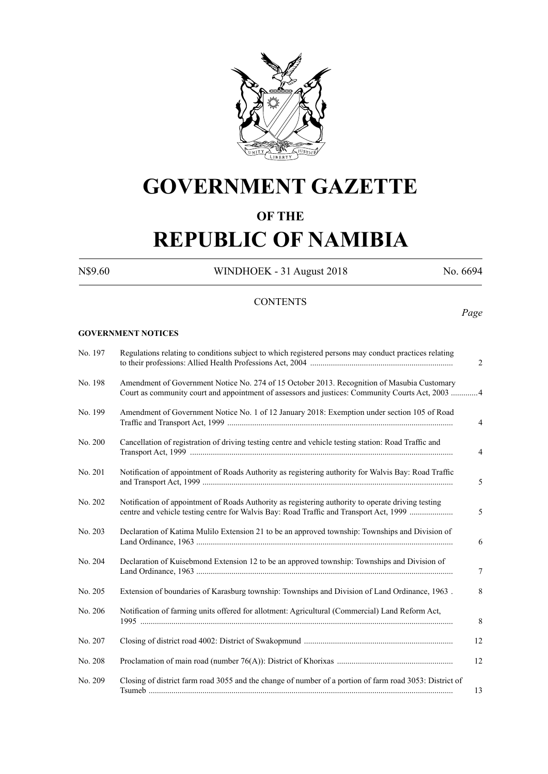

# **GOVERNMENT GAZETTE**

# **OF THE**

# **REPUBLIC OF NAMIBIA**

N\$9.60 WINDHOEK - 31 August 2018 No. 6694

# **CONTENTS**

### *Page*

#### **GOVERNMENT NOTICES**

| No. 197 | Regulations relating to conditions subject to which registered persons may conduct practices relating                                                                                           | 2              |
|---------|-------------------------------------------------------------------------------------------------------------------------------------------------------------------------------------------------|----------------|
| No. 198 | Amendment of Government Notice No. 274 of 15 October 2013. Recognition of Masubia Customary<br>Court as community court and appointment of assessors and justices: Community Courts Act, 2003 4 |                |
| No. 199 | Amendment of Government Notice No. 1 of 12 January 2018: Exemption under section 105 of Road                                                                                                    | $\overline{4}$ |
| No. 200 | Cancellation of registration of driving testing centre and vehicle testing station: Road Traffic and                                                                                            | $\overline{4}$ |
| No. 201 | Notification of appointment of Roads Authority as registering authority for Walvis Bay: Road Traffic                                                                                            | 5              |
| No. 202 | Notification of appointment of Roads Authority as registering authority to operate driving testing<br>centre and vehicle testing centre for Walvis Bay: Road Traffic and Transport Act, 1999    | 5              |
| No. 203 | Declaration of Katima Mulilo Extension 21 to be an approved township: Townships and Division of                                                                                                 | 6              |
| No. 204 | Declaration of Kuisebmond Extension 12 to be an approved township: Townships and Division of                                                                                                    | 7              |
| No. 205 | Extension of boundaries of Karasburg township: Townships and Division of Land Ordinance, 1963.                                                                                                  | 8              |
| No. 206 | Notification of farming units offered for allotment: Agricultural (Commercial) Land Reform Act,                                                                                                 | 8              |
| No. 207 |                                                                                                                                                                                                 | 12             |
| No. 208 |                                                                                                                                                                                                 | 12             |
| No. 209 | Closing of district farm road 3055 and the change of number of a portion of farm road 3053: District of                                                                                         | 13             |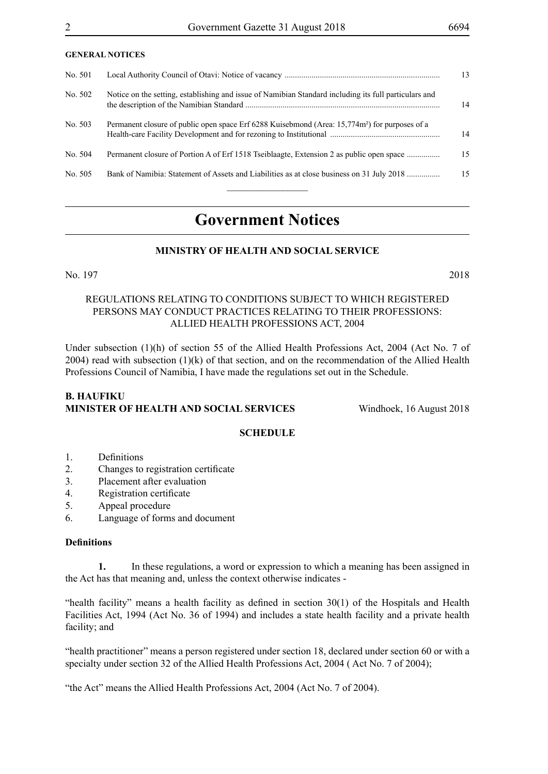#### **GENERAL NOTICES**

| No. 501 |                                                                                                            | 13 <sup>13</sup> |
|---------|------------------------------------------------------------------------------------------------------------|------------------|
| No. 502 | Notice on the setting, establishing and issue of Namibian Standard including its full particulars and      | 14               |
| No. 503 | Permanent closure of public open space Erf 6288 Kuisebmond (Area: 15,774m <sup>2</sup> ) for purposes of a | 14               |
| No. 504 | Permanent closure of Portion A of Erf 1518 Tseiblaagte, Extension 2 as public open space                   | 15               |
| No. 505 | Bank of Namibia: Statement of Assets and Liabilities as at close business on 31 July 2018                  | 15               |
|         |                                                                                                            |                  |

# **Government Notices**

# **MINISTRY OF HEALTH AND SOCIAL SERVICE**

#### No. 197 2018

#### REGULATIONS RELATING TO CONDITIONS SUBJECT TO WHICH REGISTERED PERSONS MAY CONDUCT PRACTICES RELATING TO THEIR PROFESSIONS: ALLIED HEALTH PROFESSIONS ACT, 2004

Under subsection (1)(h) of section 55 of the Allied Health Professions Act, 2004 (Act No. 7 of 2004) read with subsection  $(1)(k)$  of that section, and on the recommendation of the Allied Health Professions Council of Namibia, I have made the regulations set out in the Schedule.

# **B. HAUFIKU MINISTER OF HEALTH AND SOCIAL SERVICES** Windhoek, 16 August 2018

# **SCHEDULE**

- 1. Definitions
- 2. Changes to registration certificate
- 3. Placement after evaluation
- 4. Registration certificate
- 5. Appeal procedure
- 6. Language of forms and document

#### **Definitions**

**1.** In these regulations, a word or expression to which a meaning has been assigned in the Act has that meaning and, unless the context otherwise indicates -

"health facility" means a health facility as defined in section 30(1) of the Hospitals and Health Facilities Act, 1994 (Act No. 36 of 1994) and includes a state health facility and a private health facility; and

"health practitioner" means a person registered under section 18, declared under section 60 or with a specialty under section 32 of the Allied Health Professions Act, 2004 ( Act No. 7 of 2004);

"the Act" means the Allied Health Professions Act, 2004 (Act No. 7 of 2004).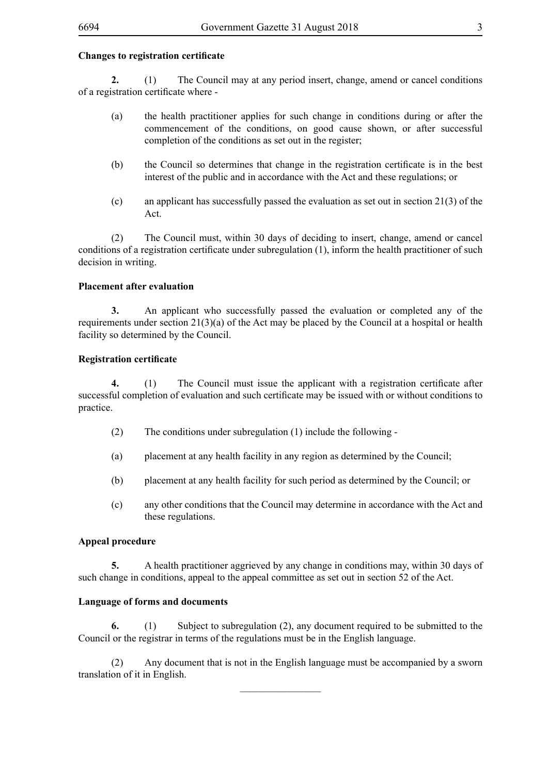#### **Changes to registration certificate**

**2.** (1) The Council may at any period insert, change, amend or cancel conditions of a registration certificate where -

- (a) the health practitioner applies for such change in conditions during or after the commencement of the conditions, on good cause shown, or after successful completion of the conditions as set out in the register;
- (b) the Council so determines that change in the registration certificate is in the best interest of the public and in accordance with the Act and these regulations; or
- (c) an applicant has successfully passed the evaluation as set out in section 21(3) of the Act.

(2) The Council must, within 30 days of deciding to insert, change, amend or cancel conditions of a registration certificate under subregulation (1), inform the health practitioner of such decision in writing.

#### **Placement after evaluation**

**3.** An applicant who successfully passed the evaluation or completed any of the requirements under section 21(3)(a) of the Act may be placed by the Council at a hospital or health facility so determined by the Council.

#### **Registration certificate**

**4.** (1) The Council must issue the applicant with a registration certificate after successful completion of evaluation and such certificate may be issued with or without conditions to practice.

- (2) The conditions under subregulation (1) include the following -
- (a) placement at any health facility in any region as determined by the Council;
- (b) placement at any health facility for such period as determined by the Council; or
- (c) any other conditions that the Council may determine in accordance with the Act and these regulations.

#### **Appeal procedure**

**5.** A health practitioner aggrieved by any change in conditions may, within 30 days of such change in conditions, appeal to the appeal committee as set out in section 52 of the Act.

#### **Language of forms and documents**

**6.** (1) Subject to subregulation (2), any document required to be submitted to the Council or the registrar in terms of the regulations must be in the English language.

(2) Any document that is not in the English language must be accompanied by a sworn translation of it in English.  $\overline{\phantom{a}}$  , where  $\overline{\phantom{a}}$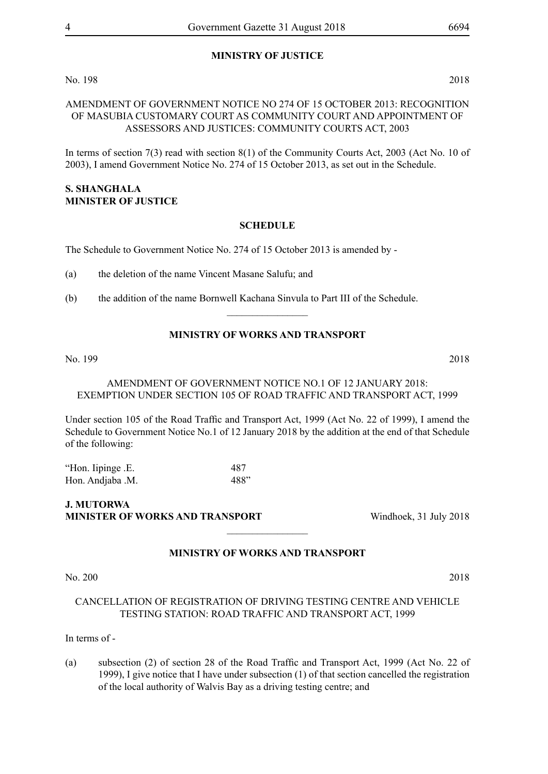# **MINISTRY OF JUSTICE**

No. 198 2018

#### AMENDMENT OF GOVERNMENT NOTICE NO 274 OF 15 OCTOBER 2013: RECOGNITION OF MASUBIA CUSTOMARY COURT AS COMMUNITY COURT AND APPOINTMENT OF ASSESSORS AND JUSTICES: COMMUNITY COURTS ACT, 2003

In terms of section 7(3) read with section 8(1) of the Community Courts Act, 2003 (Act No. 10 of 2003), I amend Government Notice No. 274 of 15 October 2013, as set out in the Schedule.

#### **S. SHANGHALA Minister of Justice**

#### **SCHEDULE**

The Schedule to Government Notice No. 274 of 15 October 2013 is amended by -

(a) the deletion of the name Vincent Masane Salufu; and

(b) the addition of the name Bornwell Kachana Sinvula to Part III of the Schedule.

# **MINISTRY OF WORKS AND TRANSPORT**

 $\frac{1}{2}$ 

No. 199 2018

#### AMENDMENT OF GOVERNMENT NOTICE NO.1 OF 12 JANUARY 2018: EXEMPTION UNDER SECTION 105 OF ROAD TRAFFIC AND TRANSPORT ACT, 1999

Under section 105 of the Road Traffic and Transport Act, 1999 (Act No. 22 of 1999), I amend the Schedule to Government Notice No.1 of 12 January 2018 by the addition at the end of that Schedule of the following:

"Hon. Iipinge .E. 487 Hon. Andjaba .M. 488"

**J. MUTORWA MINISTER OF WORKS AND TRANSPORT** Windhoek, 31 July 2018

# **MINISTRY OF WORKS AND TRANSPORT**

 $\frac{1}{2}$ 

#### No. 200 2018

# CANCELLATION OF REGISTRATION OF DRIVING TESTING CENTRE AND VEHICLE TESTING STATION: ROAD TRAFFIC AND TRANSPORT ACT, 1999

#### In terms of -

(a) subsection (2) of section 28 of the Road Traffic and Transport Act, 1999 (Act No. 22 of 1999), I give notice that I have under subsection (1) of that section cancelled the registration of the local authority of Walvis Bay as a driving testing centre; and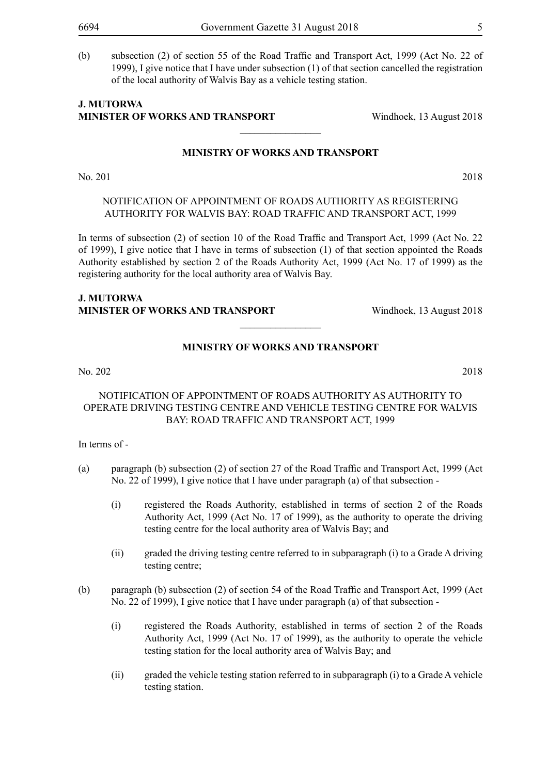(b) subsection (2) of section 55 of the Road Traffic and Transport Act, 1999 (Act No. 22 of 1999), I give notice that I have under subsection (1) of that section cancelled the registration of the local authority of Walvis Bay as a vehicle testing station.

 $\frac{1}{2}$ 

#### **J. MUTORWA MINISTER OF WORKS AND TRANSPORT Windhoek, 13 August 2018**

# **MINISTRY OF WORKS AND TRANSPORT**

No. 201 2018

NOTIFICATION OF APPOINTMENT OF ROADS AUTHORITY AS REGISTERING AUTHORITY FOR WALVIS BAY: ROAD TRAFFIC AND TRANSPORT ACT, 1999

In terms of subsection (2) of section 10 of the Road Traffic and Transport Act, 1999 (Act No. 22 of 1999), I give notice that I have in terms of subsection (1) of that section appointed the Roads Authority established by section 2 of the Roads Authority Act, 1999 (Act No. 17 of 1999) as the registering authority for the local authority area of Walvis Bay.

# **J. MUTORWA MINISTER OF WORKS AND TRANSPORT** Windhoek, 13 August 2018

# **MINISTRY OF WORKS AND TRANSPORT**

 $\overline{\phantom{a}}$  , where  $\overline{\phantom{a}}$ 

No. 202 2018

#### NOTIFICATION OF APPOINTMENT OF ROADS AUTHORITY AS AUTHORITY TO OPERATE DRIVING TESTING CENTRE AND VEHICLE TESTING CENTRE FOR WALVIS BAY: ROAD TRAFFIC AND TRANSPORT ACT, 1999

In terms of -

- (a) paragraph (b) subsection (2) of section 27 of the Road Traffic and Transport Act, 1999 (Act No. 22 of 1999), I give notice that I have under paragraph (a) of that subsection -
	- (i) registered the Roads Authority, established in terms of section 2 of the Roads Authority Act, 1999 (Act No. 17 of 1999), as the authority to operate the driving testing centre for the local authority area of Walvis Bay; and
	- (ii) graded the driving testing centre referred to in subparagraph (i) to a Grade A driving testing centre;
- (b) paragraph (b) subsection (2) of section 54 of the Road Traffic and Transport Act, 1999 (Act No. 22 of 1999), I give notice that I have under paragraph (a) of that subsection -
	- (i) registered the Roads Authority, established in terms of section 2 of the Roads Authority Act, 1999 (Act No. 17 of 1999), as the authority to operate the vehicle testing station for the local authority area of Walvis Bay; and
	- (ii) graded the vehicle testing station referred to in subparagraph (i) to a Grade A vehicle testing station.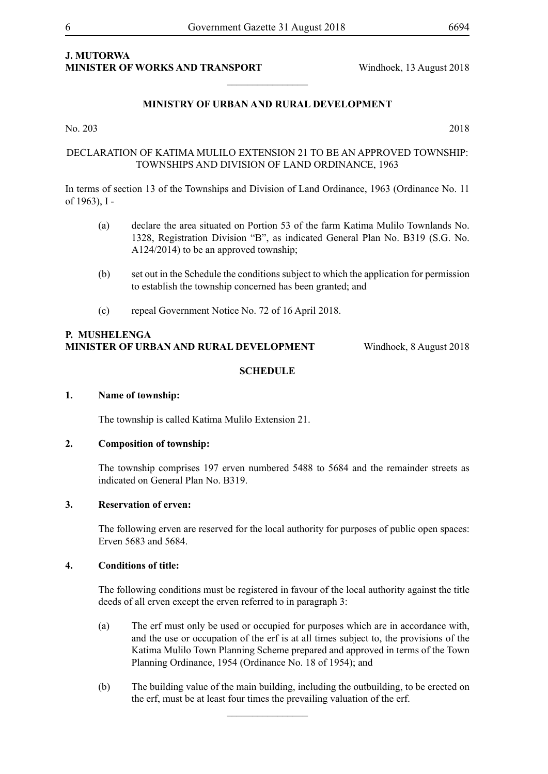# **J. MUTORWA MINISTER OF WORKS AND TRANSPORT Windhoek, 13 August 2018**

### **MINISTRY OF URBAN AND RURAL DEVELOPMENT**

 $\frac{1}{2}$ 

No. 203 2018

#### DECLARATION OF KATIMA MULILO EXTENSION 21 TO BE AN APPROVED TOWNSHIP: TOWNSHIPS AND DIVISION OF LAND ORDINANCE, 1963

In terms of section 13 of the Townships and Division of Land Ordinance, 1963 (Ordinance No. 11 of 1963), I -

- (a) declare the area situated on Portion 53 of the farm Katima Mulilo Townlands No. 1328, Registration Division "B", as indicated General Plan No. B319 (S.G. No. A124/2014) to be an approved township;
- (b) set out in the Schedule the conditions subject to which the application for permission to establish the township concerned has been granted; and
- (c) repeal Government Notice No. 72 of 16 April 2018.

#### **P. Mushelenga Minister of Urban and Rural Development** Windhoek, 8 August 2018

#### **SCHEDULE**

#### **1. Name of township:**

The township is called Katima Mulilo Extension 21.

#### **2. Composition of township:**

The township comprises 197 erven numbered 5488 to 5684 and the remainder streets as indicated on General Plan No. B319.

#### **3. Reservation of erven:**

The following erven are reserved for the local authority for purposes of public open spaces: Erven 5683 and 5684.

#### **4. Conditions of title:**

The following conditions must be registered in favour of the local authority against the title deeds of all erven except the erven referred to in paragraph 3:

- (a) The erf must only be used or occupied for purposes which are in accordance with, and the use or occupation of the erf is at all times subject to, the provisions of the Katima Mulilo Town Planning Scheme prepared and approved in terms of the Town Planning Ordinance, 1954 (Ordinance No. 18 of 1954); and
- (b) The building value of the main building, including the outbuilding, to be erected on the erf, must be at least four times the prevailing valuation of the erf.

 $\frac{1}{2}$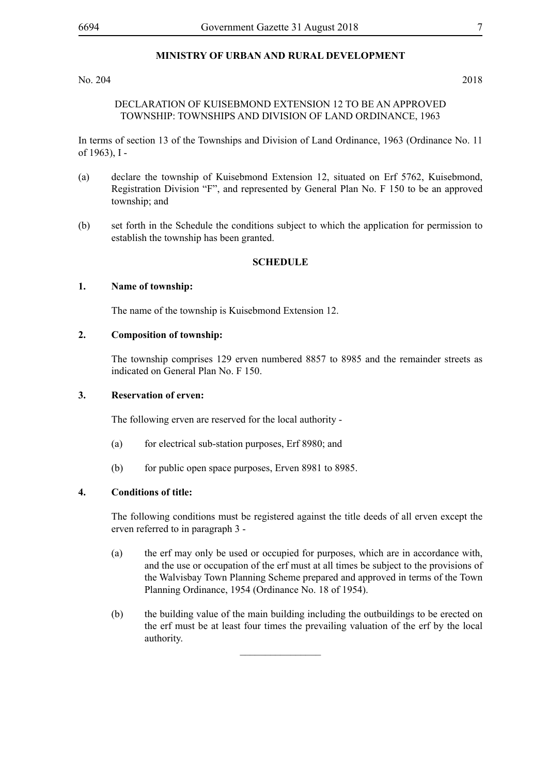#### **MINISTRY OF URBAN AND RURAL DEVELOPMENT**

#### No. 204 2018

#### DECLARATION OF KUISEBMOND EXTENSION 12 TO BE AN APPROVED TOWNSHIP: TOWNSHIPS AND DIVISION OF LAND ORDINANCE, 1963

In terms of section 13 of the Townships and Division of Land Ordinance, 1963 (Ordinance No. 11 of 1963), I -

- (a) declare the township of Kuisebmond Extension 12, situated on Erf 5762, Kuisebmond, Registration Division "F", and represented by General Plan No. F 150 to be an approved township; and
- (b) set forth in the Schedule the conditions subject to which the application for permission to establish the township has been granted.

#### **SCHEDULE**

#### **1. Name of township:**

The name of the township is Kuisebmond Extension 12.

#### **2. Composition of township:**

The township comprises 129 erven numbered 8857 to 8985 and the remainder streets as indicated on General Plan No. F 150.

#### **3. Reservation of erven:**

The following erven are reserved for the local authority -

- (a) for electrical sub-station purposes, Erf 8980; and
- (b) for public open space purposes, Erven 8981 to 8985.

#### **4. Conditions of title:**

The following conditions must be registered against the title deeds of all erven except the erven referred to in paragraph 3 -

- (a) the erf may only be used or occupied for purposes, which are in accordance with, and the use or occupation of the erf must at all times be subject to the provisions of the Walvisbay Town Planning Scheme prepared and approved in terms of the Town Planning Ordinance, 1954 (Ordinance No. 18 of 1954).
- (b) the building value of the main building including the outbuildings to be erected on the erf must be at least four times the prevailing valuation of the erf by the local authority.

 $\frac{1}{2}$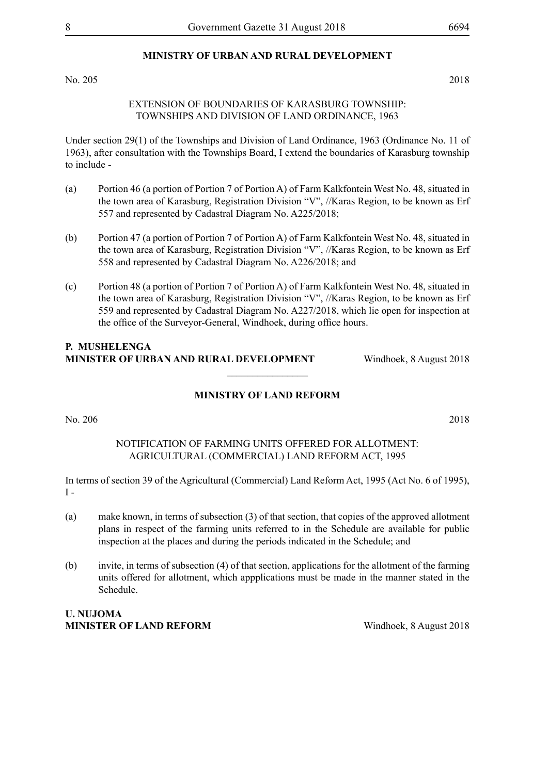### **MINISTRY OF URBAN AND RURAL DEVELOPMENT**

No. 205 2018

#### EXTENSION OF BOUNDARIES OF KARASBURG TOWNSHIP: TOWNSHIPS AND DIVISION OF LAND ORDINANCE, 1963

Under section 29(1) of the Townships and Division of Land Ordinance, 1963 (Ordinance No. 11 of 1963), after consultation with the Townships Board, I extend the boundaries of Karasburg township to include -

- (a) Portion 46 (a portion of Portion 7 of Portion A) of Farm Kalkfontein West No. 48, situated in the town area of Karasburg, Registration Division "V", //Karas Region, to be known as Erf 557 and represented by Cadastral Diagram No. A225/2018;
- (b) Portion 47 (a portion of Portion 7 of Portion A) of Farm Kalkfontein West No. 48, situated in the town area of Karasburg, Registration Division "V", //Karas Region, to be known as Erf 558 and represented by Cadastral Diagram No. A226/2018; and
- (c) Portion 48 (a portion of Portion 7 of Portion A) of Farm Kalkfontein West No. 48, situated in the town area of Karasburg, Registration Division "V", //Karas Region, to be known as Erf 559 and represented by Cadastral Diagram No. A227/2018, which lie open for inspection at the office of the Surveyor-General, Windhoek, during office hours.

# **P. Mushelenga Minister of Urban and Rural Development** Windhoek, 8 August 2018

#### **MINISTRY OF LAND REFORM**

 $\frac{1}{2}$ 

No. 206 2018

#### NOTIFICATION OF FARMING UNITS OFFERED FOR ALLOTMENT: AGRICULTURAL (COMMERCIAL) LAND REFORM ACT, 1995

In terms of section 39 of the Agricultural (Commercial) Land Reform Act, 1995 (Act No. 6 of 1995),  $I -$ 

- (a) make known, in terms of subsection (3) of that section, that copies of the approved allotment plans in respect of the farming units referred to in the Schedule are available for public inspection at the places and during the periods indicated in the Schedule; and
- (b) invite, in terms of subsection (4) of that section, applications for the allotment of the farming units offered for allotment, which appplications must be made in the manner stated in the Schedule.

# **U. Nujoma MINISTER OF LAND REFORM** Windhoek, 8 August 2018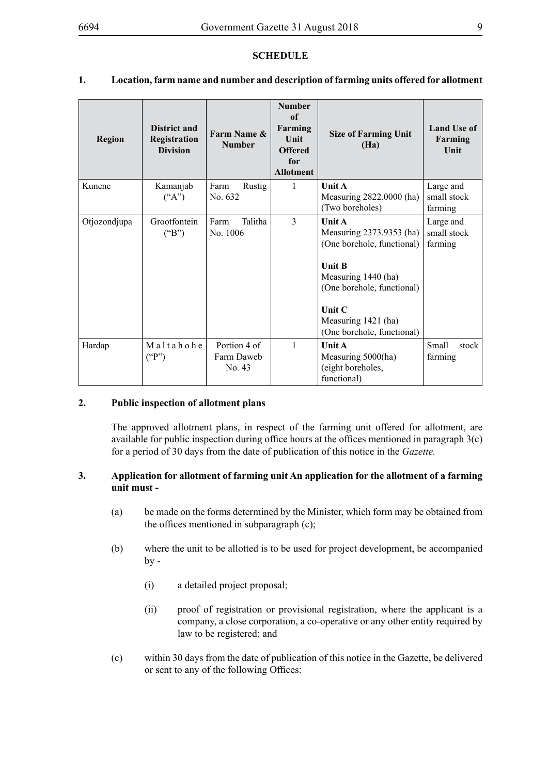#### **SCHEDULE**

# **1. Location, farm name and number and description of farming units offered for allotment**

| <b>Region</b> | <b>District and</b><br>Registration<br><b>Division</b> | Farm Name &<br><b>Number</b>         | <b>Number</b><br>of<br>Farming<br>Unit<br><b>Offered</b><br>for<br><b>Allotment</b> | <b>Size of Farming Unit</b><br>(Ha)                                                                                                                                                                                 | <b>Land Use of</b><br>Farming<br>Unit |
|---------------|--------------------------------------------------------|--------------------------------------|-------------------------------------------------------------------------------------|---------------------------------------------------------------------------------------------------------------------------------------------------------------------------------------------------------------------|---------------------------------------|
| Kunene        | Kamanjab<br>$($ "A")                                   | Farm<br>Rustig<br>No. 632            | 1                                                                                   | <b>Unit A</b><br>Measuring 2822.0000 (ha)<br>(Two boreholes)                                                                                                                                                        | Large and<br>small stock<br>farming   |
| Otjozondjupa  | Grootfontein<br>("B")                                  | Talitha<br>Farm<br>No. 1006          | 3                                                                                   | <b>Unit A</b><br>Measuring 2373.9353 (ha)<br>(One borehole, functional)<br><b>Unit B</b><br>Measuring 1440 (ha)<br>(One borehole, functional)<br><b>Unit C</b><br>Measuring 1421 (ha)<br>(One borehole, functional) | Large and<br>small stock<br>farming   |
| Hardap        | Maltahohe<br>$($ "P")                                  | Portion 4 of<br>Farm Daweb<br>No. 43 | $\mathbf{1}$                                                                        | <b>Unit A</b><br>Measuring 5000(ha)<br>(eight boreholes,<br>functional)                                                                                                                                             | Small<br>stock<br>farming             |

#### **2. Public inspection of allotment plans**

The approved allotment plans, in respect of the farming unit offered for allotment, are available for public inspection during office hours at the offices mentioned in paragraph 3(c) for a period of 30 days from the date of publication of this notice in the *Gazette.*

#### **3. Application for allotment of farming unit An application for the allotment of a farming unit must -**

- (a) be made on the forms determined by the Minister, which form may be obtained from the offices mentioned in subparagraph (c);
- (b) where the unit to be allotted is to be used for project development, be accompanied  $by -$ 
	- (i) a detailed project proposal;
	- (ii) proof of registration or provisional registration, where the applicant is a company, a close corporation, a co-operative or any other entity required by law to be registered; and
- (c) within 30 days from the date of publication of this notice in the Gazette, be delivered or sent to any of the following Offices: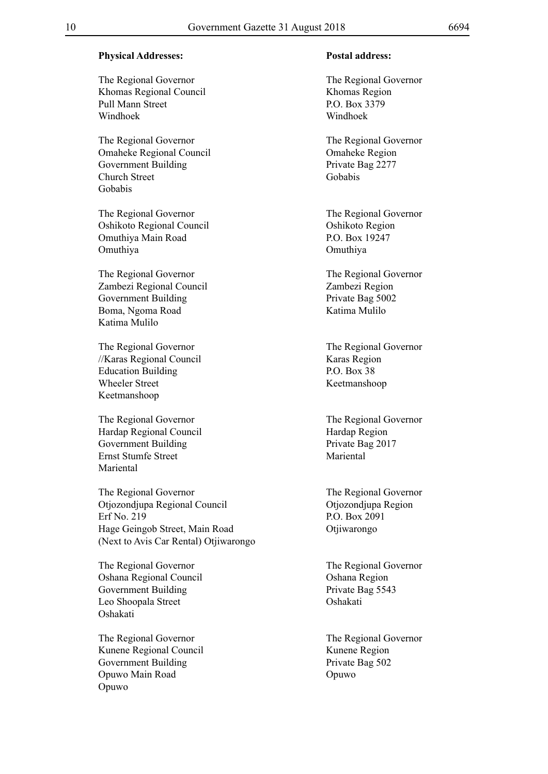#### **Physical Addresses: Postal address:**

The Regional Governor The Regional Governor Khomas Regional Council Khomas Region Pull Mann Street P.O. Box 3379 Windhoek Windhoek

The Regional Governor The Regional Governor Omaheke Regional Council Omaheke Region Government Building Private Bag 2277 Church Street Gobabis Gobabis

The Regional Governor<br>The Regional Governor Oshikoto Regional Council Oshikoto Region Omuthiya Main Road P.O. Box 19247 Omuthiya Omuthiya

The Regional Governor<br>
The Regional Governor<br>
The Regional Governor<br>
The Regional Governor<br>
The Regional Governor<br>
Zambezi Region Zambezi Regional Council Zambezi Region Government Building Private Bag 5002 Boma, Ngoma Road Katima Mulilo Katima Mulilo

The Regional Governor The Regional Governor //Karas Regional Council Karas Region Education Building P.O. Box 38 Wheeler Street Keetmanshoop Keetmanshoop

The Regional Governor The Regional Governor Hardap Regional Council Hardap Region Government Building Private Bag 2017 Ernst Stumfe Street Mariental Mariental

The Regional Governor The Regional Governor Otjozondjupa Regional Council Otjozondjupa Region Erf No. 219 P.O. Box 2091 Hage Geingob Street, Main Road Otjiwarongo (Next to Avis Car Rental) Otjiwarongo

The Regional Governor The Regional Governor Oshana Regional Council Council Coshana Region<br>
Government Building Cover Private Bag 5543 Government Building Leo Shoopala Street Oshakati Oshakati

The Regional Governor The Regional Governor Kunene Regional Council **Kunene Region** Government Building Private Bag 502 Opuwo Main Road Opuwo Opuwo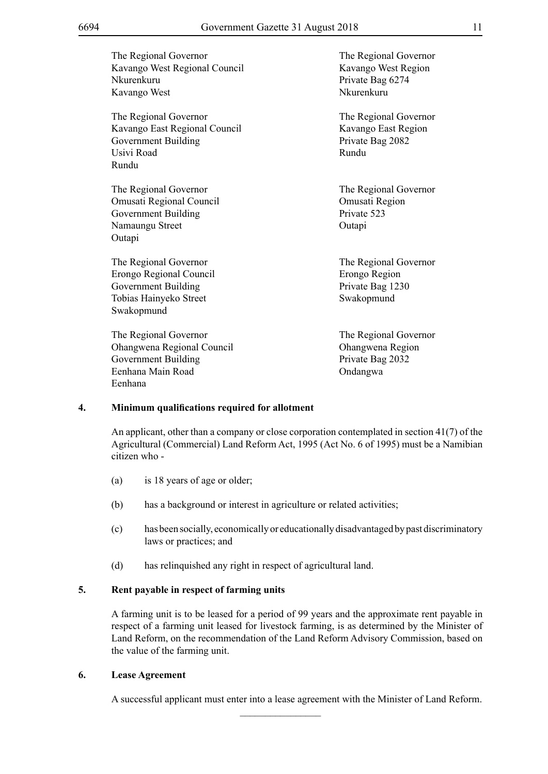| The Regional Governor<br>Kavango West Regional Council<br>Nkurenkuru<br>Kavango West                                   | The Regional Governor<br>Kavango West Region<br>Private Bag 6274<br>Nkurenkuru |
|------------------------------------------------------------------------------------------------------------------------|--------------------------------------------------------------------------------|
| The Regional Governor<br>Kavango East Regional Council<br>Government Building<br>Usivi Road<br>Rundu                   | The Regional Governor<br>Kavango East Region<br>Private Bag 2082<br>Rundu      |
| The Regional Governor<br>Omusati Regional Council<br><b>Government Building</b><br>Namaungu Street<br>Outapi           | The Regional Governor<br>Omusati Region<br>Private 523<br>Outapi               |
| The Regional Governor<br>Erongo Regional Council<br><b>Government Building</b><br>Tobias Hainyeko Street<br>Swakopmund | The Regional Governor<br>Erongo Region<br>Private Bag 1230<br>Swakopmund       |
| The Regional Governor<br>Ohangwena Regional Council<br><b>Government Building</b><br>Eenhana Main Road<br>Eenhana      | The Regional Governor<br>Ohangwena Region<br>Private Bag 2032<br>Ondangwa      |

#### **4. Minimum qualifications required for allotment**

An applicant, other than a company or close corporation contemplated in section 41(7) of the Agricultural (Commercial) Land Reform Act, 1995 (Act No. 6 of 1995) must be a Namibian citizen who -

- (a) is 18 years of age or older;
- (b) has a background or interest in agriculture or related activities;
- (c) has been socially, economically or educationally disadvantaged by past discriminatory laws or practices; and
- (d) has relinquished any right in respect of agricultural land.

#### **5. Rent payable in respect of farming units**

A farming unit is to be leased for a period of 99 years and the approximate rent payable in respect of a farming unit leased for livestock farming, is as determined by the Minister of Land Reform, on the recommendation of the Land Reform Advisory Commission, based on the value of the farming unit.

#### **6. Lease Agreement**

A successful applicant must enter into a lease agreement with the Minister of Land Reform.

 $\overline{\phantom{a}}$  , where  $\overline{\phantom{a}}$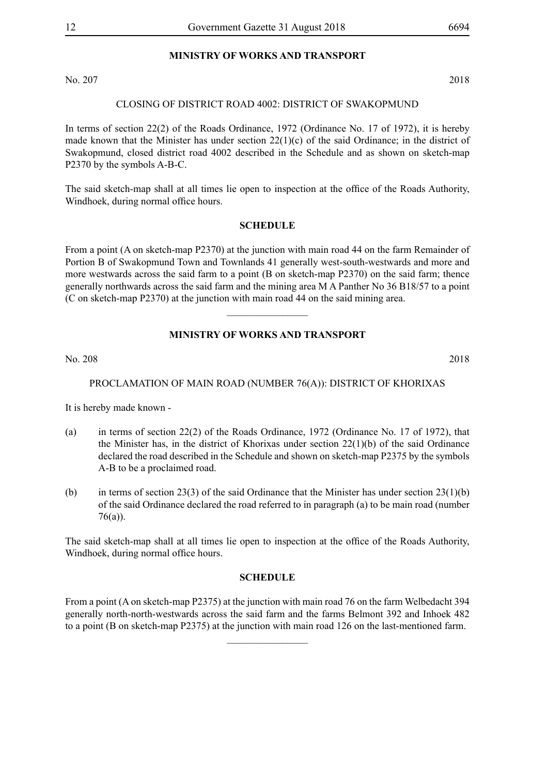# **MINISTRY OF WORKS AND TRANSPORT**

No. 207 2018

#### CLOSING OF DISTRICT ROAD 4002: DISTRICT OF SWAKOPMUND

In terms of section 22(2) of the Roads Ordinance, 1972 (Ordinance No. 17 of 1972), it is hereby made known that the Minister has under section  $22(1)(c)$  of the said Ordinance; in the district of Swakopmund, closed district road 4002 described in the Schedule and as shown on sketch-map P2370 by the symbols A-B-C.

The said sketch-map shall at all times lie open to inspection at the office of the Roads Authority, Windhoek, during normal office hours.

#### **SCHEDULE**

From a point (A on sketch-map P2370) at the junction with main road 44 on the farm Remainder of Portion B of Swakopmund Town and Townlands 41 generally west-south-westwards and more and more westwards across the said farm to a point (B on sketch-map P2370) on the said farm; thence generally northwards across the said farm and the mining area M A Panther No 36 B18/57 to a point (C on sketch-map P2370) at the junction with main road 44 on the said mining area.

#### **MINISTRY OF WORKS AND TRANSPORT**

 $\frac{1}{2}$ 

No. 208 2018

#### PROCLAMATION OF MAIN ROAD (NUMBER 76(A)): DISTRICT OF KHORIXAS

It is hereby made known -

- (a) in terms of section 22(2) of the Roads Ordinance, 1972 (Ordinance No. 17 of 1972), that the Minister has, in the district of Khorixas under section 22(1)(b) of the said Ordinance declared the road described in the Schedule and shown on sketch-map P2375 by the symbols A-B to be a proclaimed road.
- (b) in terms of section 23(3) of the said Ordinance that the Minister has under section  $23(1)(b)$ of the said Ordinance declared the road referred to in paragraph (a) to be main road (number 76(a)).

The said sketch-map shall at all times lie open to inspection at the office of the Roads Authority, Windhoek, during normal office hours.

#### **SCHEDULE**

From a point (A on sketch-map P2375) at the junction with main road 76 on the farm Welbedacht 394 generally north-north-westwards across the said farm and the farms Belmont 392 and Inhoek 482 to a point (B on sketch-map P2375) at the junction with main road 126 on the last-mentioned farm.

 $\overline{\phantom{a}}$  , where  $\overline{\phantom{a}}$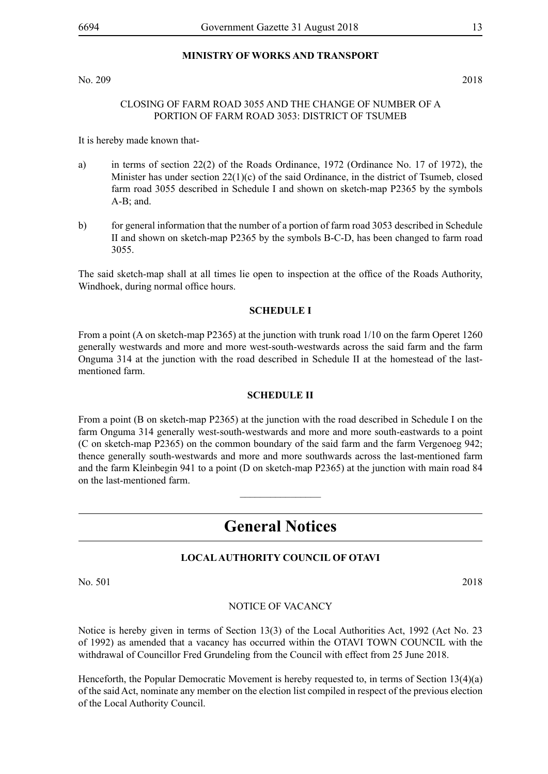#### **MINISTRY OF WORKS AND TRANSPORT**

No. 209 2018

#### CLOSING OF FARM ROAD 3055 AND THE CHANGE OF NUMBER OF A PORTION OF FARM ROAD 3053: DISTRICT OF TSUMEB

It is hereby made known that-

- a) in terms of section 22(2) of the Roads Ordinance, 1972 (Ordinance No. 17 of 1972), the Minister has under section 22(1)(c) of the said Ordinance, in the district of Tsumeb, closed farm road 3055 described in Schedule I and shown on sketch-map P2365 by the symbols A-B; and.
- b) for general information that the number of a portion of farm road 3053 described in Schedule II and shown on sketch-map P2365 by the symbols B-C-D, has been changed to farm road 3055.

The said sketch-map shall at all times lie open to inspection at the office of the Roads Authority, Windhoek, during normal office hours.

#### **SCHEDULE I**

From a point (A on sketch-map P2365) at the junction with trunk road 1/10 on the farm Operet 1260 generally westwards and more and more west-south-westwards across the said farm and the farm Onguma 314 at the junction with the road described in Schedule II at the homestead of the lastmentioned farm.

#### **SCHEDULE II**

From a point (B on sketch-map P2365) at the junction with the road described in Schedule I on the farm Onguma 314 generally west-south-westwards and more and more south-eastwards to a point (C on sketch-map P2365) on the common boundary of the said farm and the farm Vergenoeg 942; thence generally south-westwards and more and more southwards across the last-mentioned farm and the farm Kleinbegin 941 to a point (D on sketch-map P2365) at the junction with main road 84 on the last-mentioned farm.

# **General Notices**

 $\frac{1}{2}$ 

#### **LOCAL AUTHORITY COUNCIL OF OTAVI**

No. 501 2018

NOTICE OF VACANCY

Notice is hereby given in terms of Section 13(3) of the Local Authorities Act, 1992 (Act No. 23 of 1992) as amended that a vacancy has occurred within the OTAVI TOWN COUNCIL with the withdrawal of Councillor Fred Grundeling from the Council with effect from 25 June 2018.

Henceforth, the Popular Democratic Movement is hereby requested to, in terms of Section 13(4)(a) of the said Act, nominate any member on the election list compiled in respect of the previous election of the Local Authority Council.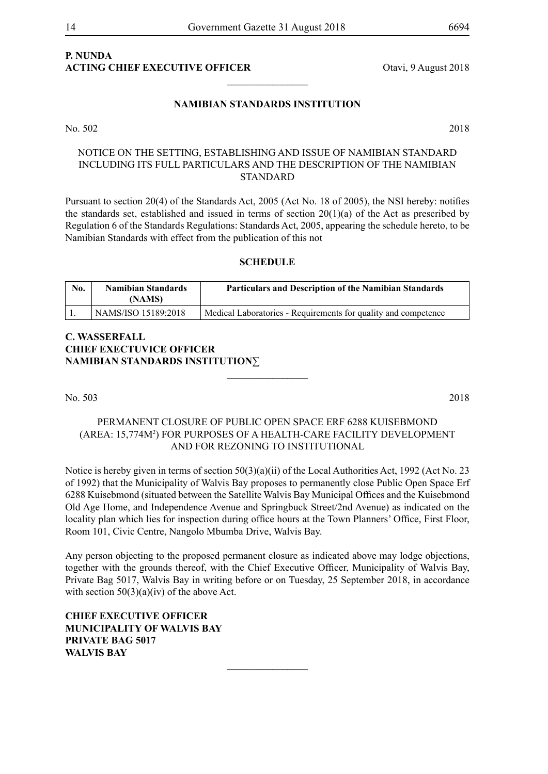# **P. NUNDA**

#### **NAMIBIAN STANDARDS INSTITUTION**

No. 502 2018

NOTICE ON THE SETTING, ESTABLISHING AND ISSUE OF NAMIBIAN STANDARD INCLUDING ITS FULL PARTICULARS AND THE DESCRIPTION OF THE NAMIBIAN STANDARD

Pursuant to section 20(4) of the Standards Act, 2005 (Act No. 18 of 2005), the NSI hereby: notifies the standards set, established and issued in terms of section  $20(1)(a)$  of the Act as prescribed by Regulation 6 of the Standards Regulations: Standards Act, 2005, appearing the schedule hereto, to be

| No. | <b>Namibian Standards</b><br>(NAMS) | <b>Particulars and Description of the Namibian Standards</b>   |
|-----|-------------------------------------|----------------------------------------------------------------|
|     | NAMS/ISO 15189:2018                 | Medical Laboratories - Requirements for quality and competence |

## **C. Wasserfall CHIEF EXECTUVICE OFFICER NAMIBIAN STANDARDS INSTITUTION**∑

No. 503 2018

#### permanent closure OF PUBLIC OPEN SPACE ERF 6288 KUISEBMOND (AREA: 15,774m<sup>2</sup> ) FOR PURPOSES OF A HEALTH-CARE FACILITY DEVELOPMENT and FOR REZONING TO INSTITUTIONAL

 $\frac{1}{2}$ 

Notice is hereby given in terms of section 50(3)(a)(ii) of the Local Authorities Act, 1992 (Act No. 23 of 1992) that the Municipality of Walvis Bay proposes to permanently close Public Open Space Erf 6288 Kuisebmond (situated between the Satellite Walvis Bay Municipal Offices and the Kuisebmond Old Age Home, and Independence Avenue and Springbuck Street/2nd Avenue) as indicated on the locality plan which lies for inspection during office hours at the Town Planners' Office, First Floor, Room 101, Civic Centre, Nangolo Mbumba Drive, Walvis Bay.

Any person objecting to the proposed permanent closure as indicated above may lodge objections, together with the grounds thereof, with the Chief Executive Officer, Municipality of Walvis Bay, Private Bag 5017, Walvis Bay in writing before or on Tuesday, 25 September 2018, in accordance with section  $50(3)(a)(iv)$  of the above Act.

 $\frac{1}{2}$ 

**Chief Executive Officer Municipality of Walvis Bay Private Bag 5017 Walvis Bay**

**ACTING CHIEF EXECUTIVE OFFICER** Otavi, 9 August 2018

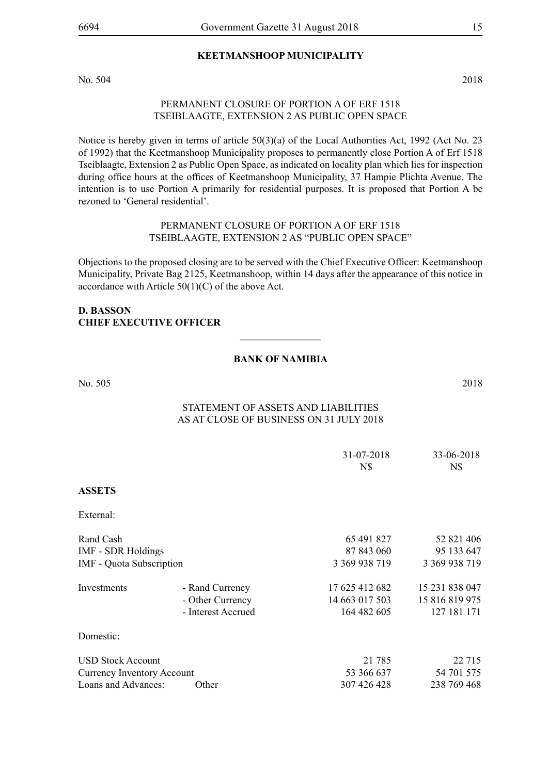#### **KEETMANSHOOP MUNICIPALITY**

No. 504 2018

#### PERMANENT CLOSURE OF PORTION A OF ERF 1518 TSEIBLAAGTE, EXTENSION 2 AS PUBLIC OPEN SPACE

Notice is hereby given in terms of article 50(3)(a) of the Local Authorities Act, 1992 (Act No. 23 of 1992) that the Keetmanshoop Municipality proposes to permanently close Portion A of Erf 1518 Tseiblaagte, Extension 2 as Public Open Space, as indicated on locality plan which lies for inspection during office hours at the offices of Keetmanshoop Municipality, 37 Hampie Plichta Avenue. The intention is to use Portion A primarily for residential purposes. It is proposed that Portion A be rezoned to 'General residential'.

#### PERMANENT CLOSURE OF PORTION A OF ERF 1518 TSEIBLAAGTE, EXTENSION 2 AS "PUBLIC OPEN SPACE"

Objections to the proposed closing are to be served with the Chief Executive Officer: Keetmanshoop Municipality, Private Bag 2125, Keetmanshoop, within 14 days after the appearance of this notice in accordance with Article  $50(1)(C)$  of the above Act.

#### **D. BASSON CHIEF EXECUTIVE OFFICER**

### **BANK OF NAMIBIA**

 $\overline{\phantom{a}}$  , where  $\overline{\phantom{a}}$ 

No. 505 2018

# Statement of Assets and Liabilities As at close of business on 31 July 2018

|                                   |                    | 31-07-2018     | 33-06-2018     |
|-----------------------------------|--------------------|----------------|----------------|
|                                   |                    | N\$            | N\$            |
| <b>ASSETS</b>                     |                    |                |                |
| External:                         |                    |                |                |
| Rand Cash                         |                    | 65 491 827     | 52 821 406     |
| <b>IMF - SDR Holdings</b>         |                    | 87 843 060     | 95 133 647     |
| <b>IMF</b> - Quota Subscription   |                    | 3 369 938 719  | 3 369 938 719  |
| Investments                       | - Rand Currency    | 17 625 412 682 | 15 231 838 047 |
|                                   | - Other Currency   | 14 663 017 503 | 15 816 819 975 |
|                                   | - Interest Accrued | 164 482 605    | 127 181 171    |
| Domestic:                         |                    |                |                |
| <b>USD Stock Account</b>          |                    | 21 785         | 22 7 15        |
| <b>Currency Inventory Account</b> |                    | 53 366 637     | 54 701 575     |
| Loans and Advances:               | Other              | 307 426 428    | 238 769 468    |